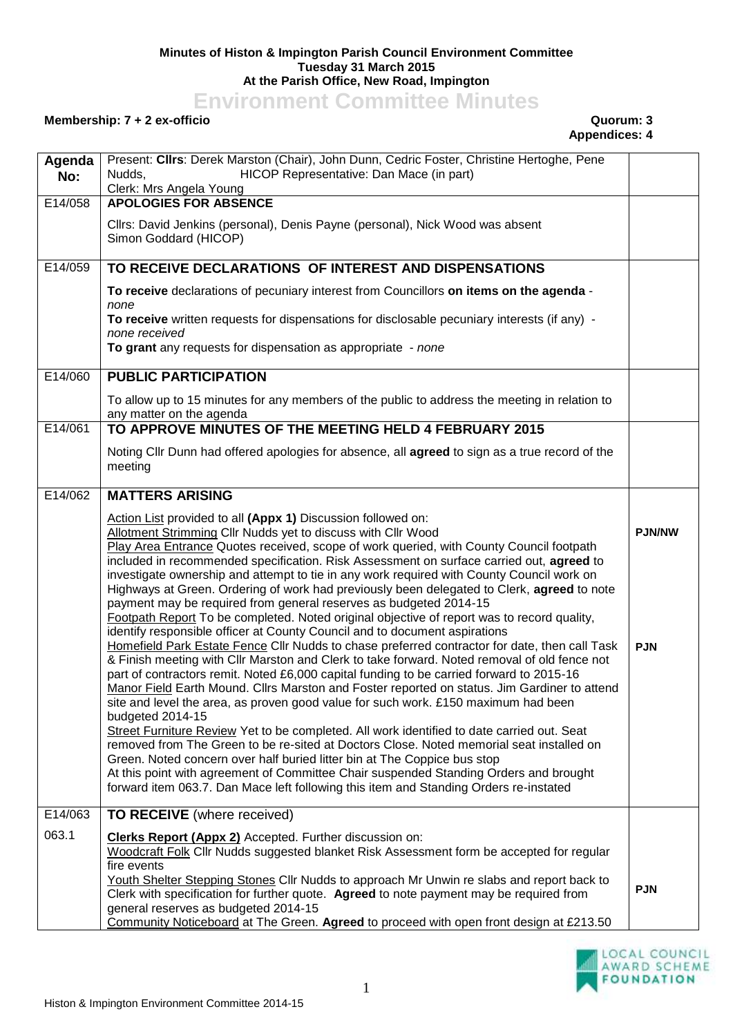## **Minutes of Histon & Impington Parish Council Environment Committee Tuesday 31 March 2015 At the Parish Office, New Road, Impington**

**Environment Committee Minutes**

## **Membership: 7 + 2 ex-officio Quorum: 3**

## **Appendices: 4**

| Agenda<br>No: | Present: Clirs: Derek Marston (Chair), John Dunn, Cedric Foster, Christine Hertoghe, Pene<br>HICOP Representative: Dan Mace (in part)<br>Nudds,<br>Clerk: Mrs Angela Young                                                                                                                                                                                                                                                                                                                                                                                                                                                                                                                                                                                                                                                                                                                                                                                                                                                                                                                                                                                                                                                                                                                                                                                                                                                                                                                                                                                                                                                                                                                                                     |                             |
|---------------|--------------------------------------------------------------------------------------------------------------------------------------------------------------------------------------------------------------------------------------------------------------------------------------------------------------------------------------------------------------------------------------------------------------------------------------------------------------------------------------------------------------------------------------------------------------------------------------------------------------------------------------------------------------------------------------------------------------------------------------------------------------------------------------------------------------------------------------------------------------------------------------------------------------------------------------------------------------------------------------------------------------------------------------------------------------------------------------------------------------------------------------------------------------------------------------------------------------------------------------------------------------------------------------------------------------------------------------------------------------------------------------------------------------------------------------------------------------------------------------------------------------------------------------------------------------------------------------------------------------------------------------------------------------------------------------------------------------------------------|-----------------------------|
| E14/058       | <b>APOLOGIES FOR ABSENCE</b><br>Cllrs: David Jenkins (personal), Denis Payne (personal), Nick Wood was absent<br>Simon Goddard (HICOP)                                                                                                                                                                                                                                                                                                                                                                                                                                                                                                                                                                                                                                                                                                                                                                                                                                                                                                                                                                                                                                                                                                                                                                                                                                                                                                                                                                                                                                                                                                                                                                                         |                             |
| E14/059       | TO RECEIVE DECLARATIONS OF INTEREST AND DISPENSATIONS                                                                                                                                                                                                                                                                                                                                                                                                                                                                                                                                                                                                                                                                                                                                                                                                                                                                                                                                                                                                                                                                                                                                                                                                                                                                                                                                                                                                                                                                                                                                                                                                                                                                          |                             |
|               | To receive declarations of pecuniary interest from Councillors on items on the agenda -<br>none<br>To receive written requests for dispensations for disclosable pecuniary interests (if any) -<br>none received<br>To grant any requests for dispensation as appropriate - none                                                                                                                                                                                                                                                                                                                                                                                                                                                                                                                                                                                                                                                                                                                                                                                                                                                                                                                                                                                                                                                                                                                                                                                                                                                                                                                                                                                                                                               |                             |
| E14/060       | <b>PUBLIC PARTICIPATION</b>                                                                                                                                                                                                                                                                                                                                                                                                                                                                                                                                                                                                                                                                                                                                                                                                                                                                                                                                                                                                                                                                                                                                                                                                                                                                                                                                                                                                                                                                                                                                                                                                                                                                                                    |                             |
|               | To allow up to 15 minutes for any members of the public to address the meeting in relation to<br>any matter on the agenda                                                                                                                                                                                                                                                                                                                                                                                                                                                                                                                                                                                                                                                                                                                                                                                                                                                                                                                                                                                                                                                                                                                                                                                                                                                                                                                                                                                                                                                                                                                                                                                                      |                             |
| E14/061       | TO APPROVE MINUTES OF THE MEETING HELD 4 FEBRUARY 2015                                                                                                                                                                                                                                                                                                                                                                                                                                                                                                                                                                                                                                                                                                                                                                                                                                                                                                                                                                                                                                                                                                                                                                                                                                                                                                                                                                                                                                                                                                                                                                                                                                                                         |                             |
|               | Noting Cllr Dunn had offered apologies for absence, all agreed to sign as a true record of the<br>meeting                                                                                                                                                                                                                                                                                                                                                                                                                                                                                                                                                                                                                                                                                                                                                                                                                                                                                                                                                                                                                                                                                                                                                                                                                                                                                                                                                                                                                                                                                                                                                                                                                      |                             |
| E14/062       | <b>MATTERS ARISING</b>                                                                                                                                                                                                                                                                                                                                                                                                                                                                                                                                                                                                                                                                                                                                                                                                                                                                                                                                                                                                                                                                                                                                                                                                                                                                                                                                                                                                                                                                                                                                                                                                                                                                                                         |                             |
|               | Action List provided to all (Appx 1) Discussion followed on:<br>Allotment Strimming Cllr Nudds yet to discuss with Cllr Wood<br>Play Area Entrance Quotes received, scope of work queried, with County Council footpath<br>included in recommended specification. Risk Assessment on surface carried out, agreed to<br>investigate ownership and attempt to tie in any work required with County Council work on<br>Highways at Green. Ordering of work had previously been delegated to Clerk, agreed to note<br>payment may be required from general reserves as budgeted 2014-15<br>Footpath Report To be completed. Noted original objective of report was to record quality,<br>identify responsible officer at County Council and to document aspirations<br>Homefield Park Estate Fence Cllr Nudds to chase preferred contractor for date, then call Task<br>& Finish meeting with Cllr Marston and Clerk to take forward. Noted removal of old fence not<br>part of contractors remit. Noted £6,000 capital funding to be carried forward to 2015-16<br>Manor Field Earth Mound. Clirs Marston and Foster reported on status. Jim Gardiner to attend<br>site and level the area, as proven good value for such work. £150 maximum had been<br>budgeted 2014-15<br>Street Furniture Review Yet to be completed. All work identified to date carried out. Seat<br>removed from The Green to be re-sited at Doctors Close. Noted memorial seat installed on<br>Green. Noted concern over half buried litter bin at The Coppice bus stop<br>At this point with agreement of Committee Chair suspended Standing Orders and brought<br>forward item 063.7. Dan Mace left following this item and Standing Orders re-instated | <b>PJN/NW</b><br><b>PJN</b> |
| E14/063       | <b>TO RECEIVE</b> (where received)                                                                                                                                                                                                                                                                                                                                                                                                                                                                                                                                                                                                                                                                                                                                                                                                                                                                                                                                                                                                                                                                                                                                                                                                                                                                                                                                                                                                                                                                                                                                                                                                                                                                                             |                             |
| 063.1         | <b>Clerks Report (Appx 2)</b> Accepted. Further discussion on:<br>Woodcraft Folk Cllr Nudds suggested blanket Risk Assessment form be accepted for regular<br>fire events<br>Youth Shelter Stepping Stones Cllr Nudds to approach Mr Unwin re slabs and report back to<br>Clerk with specification for further quote. Agreed to note payment may be required from<br>general reserves as budgeted 2014-15<br>Community Noticeboard at The Green. Agreed to proceed with open front design at £213.50                                                                                                                                                                                                                                                                                                                                                                                                                                                                                                                                                                                                                                                                                                                                                                                                                                                                                                                                                                                                                                                                                                                                                                                                                           | <b>PJN</b>                  |

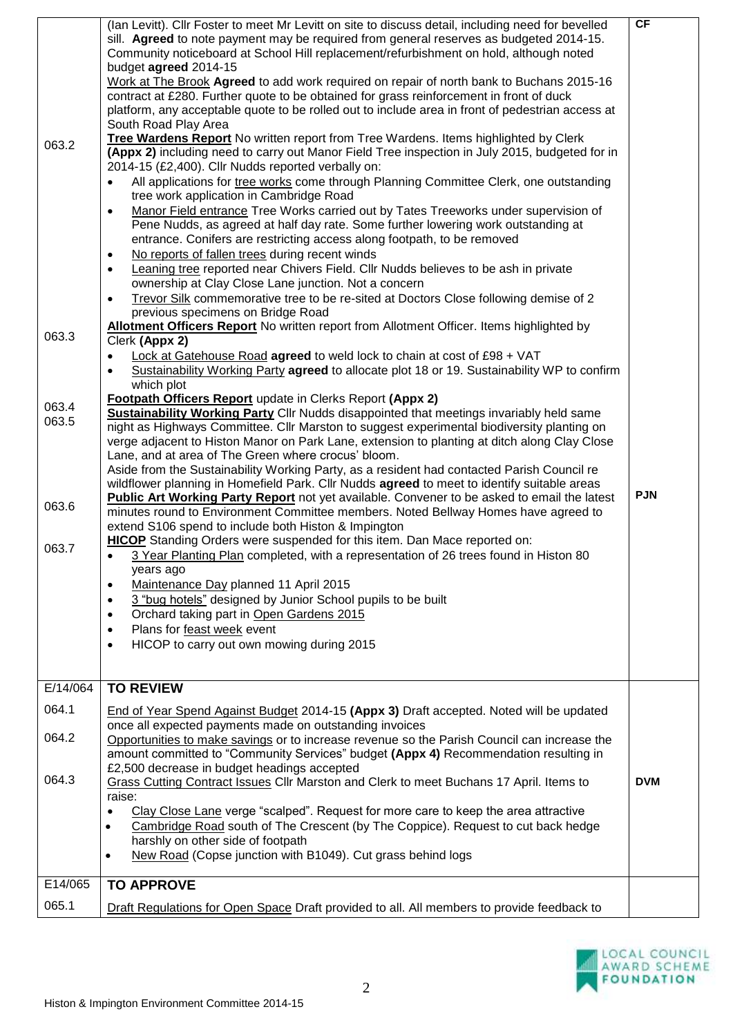|          | (Ian Levitt). Cllr Foster to meet Mr Levitt on site to discuss detail, including need for bevelled<br>sill. Agreed to note payment may be required from general reserves as budgeted 2014-15.<br>Community noticeboard at School Hill replacement/refurbishment on hold, although noted<br>budget agreed 2014-15<br>Work at The Brook Agreed to add work required on repair of north bank to Buchans 2015-16 | CF         |
|----------|--------------------------------------------------------------------------------------------------------------------------------------------------------------------------------------------------------------------------------------------------------------------------------------------------------------------------------------------------------------------------------------------------------------|------------|
|          | contract at £280. Further quote to be obtained for grass reinforcement in front of duck<br>platform, any acceptable quote to be rolled out to include area in front of pedestrian access at<br>South Road Play Area                                                                                                                                                                                          |            |
| 063.2    | Tree Wardens Report No written report from Tree Wardens. Items highlighted by Clerk<br>(Appx 2) including need to carry out Manor Field Tree inspection in July 2015, budgeted for in<br>2014-15 (£2,400). Cllr Nudds reported verbally on:                                                                                                                                                                  |            |
|          | All applications for tree works come through Planning Committee Clerk, one outstanding<br>tree work application in Cambridge Road                                                                                                                                                                                                                                                                            |            |
|          | Manor Field entrance Tree Works carried out by Tates Treeworks under supervision of<br>$\bullet$<br>Pene Nudds, as agreed at half day rate. Some further lowering work outstanding at<br>entrance. Conifers are restricting access along footpath, to be removed                                                                                                                                             |            |
|          | No reports of fallen trees during recent winds<br>٠                                                                                                                                                                                                                                                                                                                                                          |            |
|          | Leaning tree reported near Chivers Field. Cllr Nudds believes to be ash in private<br>$\bullet$<br>ownership at Clay Close Lane junction. Not a concern                                                                                                                                                                                                                                                      |            |
|          | Trevor Silk commemorative tree to be re-sited at Doctors Close following demise of 2<br>$\bullet$<br>previous specimens on Bridge Road                                                                                                                                                                                                                                                                       |            |
| 063.3    | Allotment Officers Report No written report from Allotment Officer. Items highlighted by<br>Clerk (Appx 2)                                                                                                                                                                                                                                                                                                   |            |
|          | Lock at Gatehouse Road agreed to weld lock to chain at cost of £98 + VAT<br>Sustainability Working Party agreed to allocate plot 18 or 19. Sustainability WP to confirm<br>$\bullet$<br>which plot                                                                                                                                                                                                           |            |
| 063.4    | Footpath Officers Report update in Clerks Report (Appx 2)<br><b>Sustainability Working Party Cllr Nudds disappointed that meetings invariably held same</b>                                                                                                                                                                                                                                                  |            |
| 063.5    | night as Highways Committee. Cllr Marston to suggest experimental biodiversity planting on                                                                                                                                                                                                                                                                                                                   |            |
|          | verge adjacent to Histon Manor on Park Lane, extension to planting at ditch along Clay Close<br>Lane, and at area of The Green where crocus' bloom.                                                                                                                                                                                                                                                          |            |
|          | Aside from the Sustainability Working Party, as a resident had contacted Parish Council re                                                                                                                                                                                                                                                                                                                   |            |
|          | wildflower planning in Homefield Park. Cllr Nudds agreed to meet to identify suitable areas                                                                                                                                                                                                                                                                                                                  | <b>PJN</b> |
| 063.6    | <b>Public Art Working Party Report</b> not yet available. Convener to be asked to email the latest<br>minutes round to Environment Committee members. Noted Bellway Homes have agreed to                                                                                                                                                                                                                     |            |
|          | extend S106 spend to include both Histon & Impington                                                                                                                                                                                                                                                                                                                                                         |            |
| 063.7    | HICOP Standing Orders were suspended for this item. Dan Mace reported on:<br>3 Year Planting Plan completed, with a representation of 26 trees found in Histon 80<br>$\bullet$                                                                                                                                                                                                                               |            |
|          | years ago                                                                                                                                                                                                                                                                                                                                                                                                    |            |
|          | Maintenance Day planned 11 April 2015<br>$\bullet$<br>3 "bug hotels" designed by Junior School pupils to be built<br>$\bullet$                                                                                                                                                                                                                                                                               |            |
|          | Orchard taking part in Open Gardens 2015<br>$\bullet$                                                                                                                                                                                                                                                                                                                                                        |            |
|          | Plans for feast week event<br>$\bullet$                                                                                                                                                                                                                                                                                                                                                                      |            |
|          | HICOP to carry out own mowing during 2015<br>$\bullet$                                                                                                                                                                                                                                                                                                                                                       |            |
| E/14/064 | <b>TO REVIEW</b>                                                                                                                                                                                                                                                                                                                                                                                             |            |
| 064.1    | End of Year Spend Against Budget 2014-15 (Appx 3) Draft accepted. Noted will be updated<br>once all expected payments made on outstanding invoices                                                                                                                                                                                                                                                           |            |
| 064.2    | Opportunities to make savings or to increase revenue so the Parish Council can increase the<br>amount committed to "Community Services" budget (Appx 4) Recommendation resulting in                                                                                                                                                                                                                          |            |
| 064.3    | £2,500 decrease in budget headings accepted<br>Grass Cutting Contract Issues Cllr Marston and Clerk to meet Buchans 17 April. Items to<br>raise:                                                                                                                                                                                                                                                             | <b>DVM</b> |
|          | Clay Close Lane verge "scalped". Request for more care to keep the area attractive<br>$\bullet$                                                                                                                                                                                                                                                                                                              |            |
|          | Cambridge Road south of The Crescent (by The Coppice). Request to cut back hedge<br>$\bullet$<br>harshly on other side of footpath                                                                                                                                                                                                                                                                           |            |
|          | New Road (Copse junction with B1049). Cut grass behind logs<br>$\bullet$                                                                                                                                                                                                                                                                                                                                     |            |
| E14/065  | <b>TO APPROVE</b>                                                                                                                                                                                                                                                                                                                                                                                            |            |
| 065.1    | Draft Regulations for Open Space Draft provided to all. All members to provide feedback to                                                                                                                                                                                                                                                                                                                   |            |